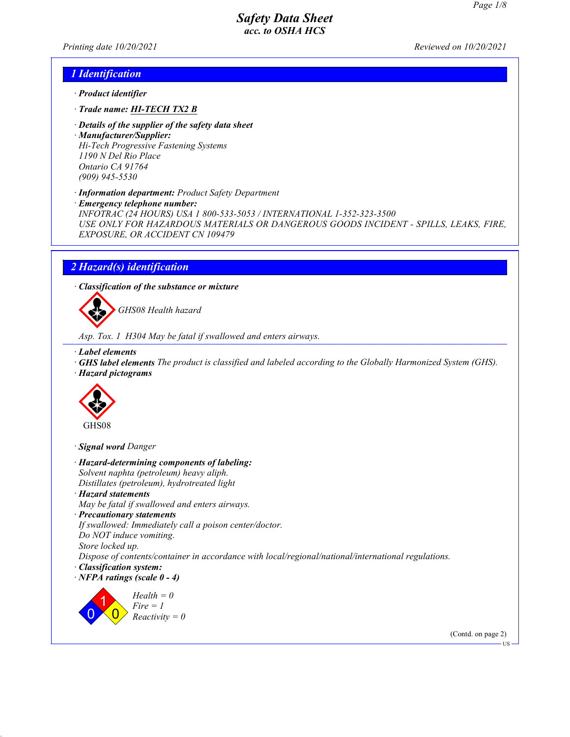Printing date 10/20/2021 Reviewed on 10/20/2021

### 1 Identification

- · Product identifier
- · Trade name: HI-TECH TX2 B
- · Details of the supplier of the safety data sheet
- · Manufacturer/Supplier: Hi-Tech Progressive Fastening Systems 1190 N Del Rio Place Ontario CA 91764 (909) 945-5530
- · Information department: Product Safety Department
- · Emergency telephone number:

INFOTRAC (24 HOURS) USA 1 800-533-5053 / INTERNATIONAL 1-352-323-3500 USE ONLY FOR HAZARDOUS MATERIALS OR DANGEROUS GOODS INCIDENT - SPILLS, LEAKS, FIRE, EXPOSURE, OR ACCIDENT CN 109479

## 2 Hazard(s) identification

· Classification of the substance or mixture



GHS08 Health hazard

Asp. Tox. 1 H304 May be fatal if swallowed and enters airways.

- · Label elements
- · GHS label elements The product is classified and labeled according to the Globally Harmonized System (GHS).
- · Hazard pictograms



· Signal word Danger

· Hazard-determining components of labeling: Solvent naphta (petroleum) heavy aliph. Distillates (petroleum), hydrotreated light · Hazard statements May be fatal if swallowed and enters airways. · Precautionary statements If swallowed: Immediately call a poison center/doctor. Do NOT induce vomiting. Store locked up. Dispose of contents/container in accordance with local/regional/national/international regulations. · Classification system:  $\cdot$  NFPA ratings (scale  $0 - 4$ ) 0 1  $\overline{\mathbf{0}}$  $Health = 0$  $Fire = 1$  $Reactivity = 0$ (Contd. on page 2)

US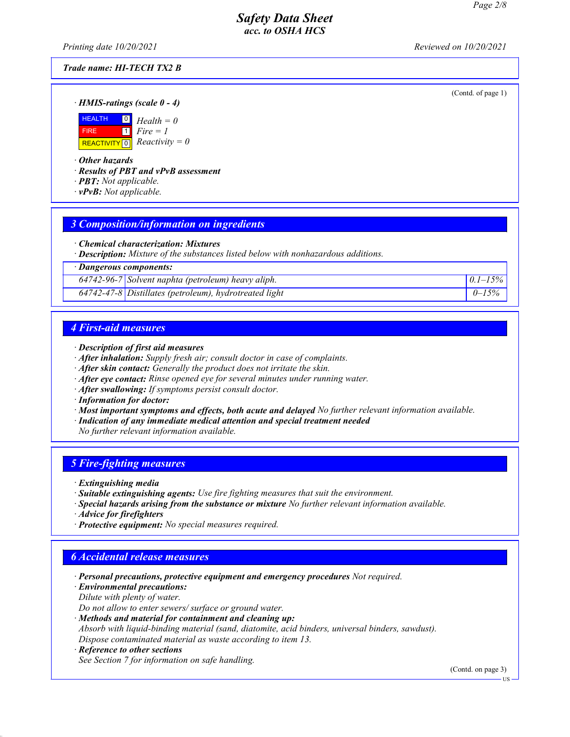Printing date 10/20/2021 Reviewed on 10/20/2021

### Trade name: HI-TECH TX2 B

(Contd. of page 1)

· HMIS-ratings (scale 0 - 4)



· Other hazards

· Results of PBT and vPvB assessment

- · PBT: Not applicable.
- $\cdot$  **vPvB:** Not applicable.

## 3 Composition/information on ingredients

· Chemical characterization: Mixtures

· Description: Mixture of the substances listed below with nonhazardous additions.

· Dangerous components:

 $64742-96-7$  Solvent naphta (petroleum) heavy aliph.  $0.1-15\%$ 

 $64742 - 47 - 8$  Distillates (petroleum), hydrotreated light  $0 - 15\%$ 

## 4 First-aid measures

- · Description of first aid measures
- · After inhalation: Supply fresh air; consult doctor in case of complaints.
- · After skin contact: Generally the product does not irritate the skin.
- · After eye contact: Rinse opened eye for several minutes under running water.
- · After swallowing: If symptoms persist consult doctor.
- · Information for doctor:
- · Most important symptoms and effects, both acute and delayed No further relevant information available.
- · Indication of any immediate medical attention and special treatment needed
- No further relevant information available.

# 5 Fire-fighting measures

- · Extinguishing media
- · Suitable extinguishing agents: Use fire fighting measures that suit the environment.
- · Special hazards arising from the substance or mixture No further relevant information available.
- · Advice for firefighters
- · Protective equipment: No special measures required.

# 6 Accidental release measures

- · Personal precautions, protective equipment and emergency procedures Not required.
- · Environmental precautions:
- Dilute with plenty of water.

Do not allow to enter sewers/ surface or ground water.

· Methods and material for containment and cleaning up:

Absorb with liquid-binding material (sand, diatomite, acid binders, universal binders, sawdust). Dispose contaminated material as waste according to item 13.

· Reference to other sections See Section 7 for information on safe handling.

(Contd. on page 3)

US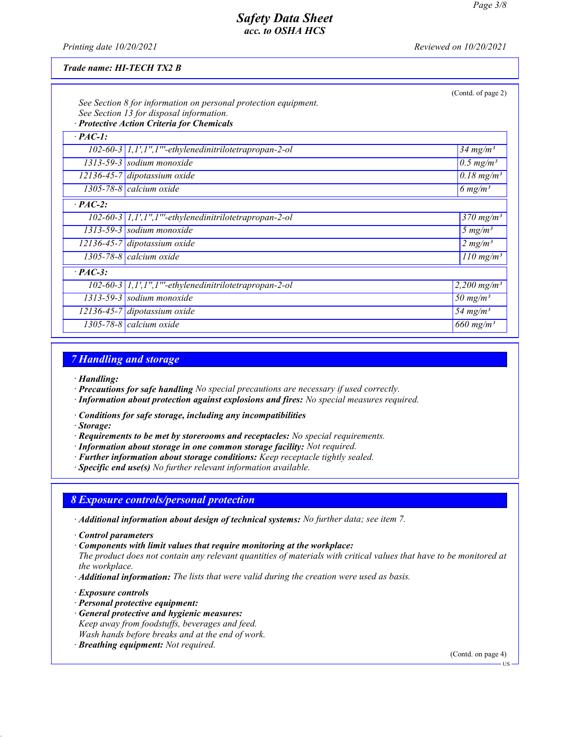Printing date  $10/20/2021$  Reviewed on  $10/20/2021$ 

#### Trade name: HI-TECH TX2 B

|                | See Section 8 for information on personal protection equipment.<br>See Section 13 for disposal information.<br>· Protective Action Criteria for Chemicals | (Contd. of page 2)                  |  |  |
|----------------|-----------------------------------------------------------------------------------------------------------------------------------------------------------|-------------------------------------|--|--|
| $\cdot$ PAC-1: |                                                                                                                                                           |                                     |  |  |
|                | 102-60-3 1,1',1",1"'-ethylenedinitrilotetrapropan-2-ol                                                                                                    | $34$ mg/m <sup>3</sup>              |  |  |
|                | $1313-59-3$ sodium monoxide                                                                                                                               | $0.5$ mg/m <sup>3</sup>             |  |  |
|                | $12136 - 45 - 7$ dipotassium oxide                                                                                                                        | $\overline{0.18}$ mg/m <sup>3</sup> |  |  |
|                | 1305-78-8 calcium oxide                                                                                                                                   | 6 $mg/m^3$                          |  |  |
| $\cdot$ PAC-2: |                                                                                                                                                           |                                     |  |  |
|                | $102-60-3$   1,1',1",1"'-ethylenedinitrilotetrapropan-2-ol                                                                                                | $370$ mg/m <sup>3</sup>             |  |  |
|                | $1313-59-3$ sodium monoxide                                                                                                                               | 5 $mg/m^3$                          |  |  |
|                | $12136 - 45 - 7$ dipotassium oxide                                                                                                                        | 2 mg/m <sup>3</sup>                 |  |  |
|                | 1305-78-8 calcium oxide                                                                                                                                   | $110$ mg/m <sup>3</sup>             |  |  |
| $\cdot$ PAC-3: |                                                                                                                                                           |                                     |  |  |
|                | 102-60-3 1,1',1",1"'-ethylenedinitrilotetrapropan-2-ol                                                                                                    | 2,200 mg/m <sup>3</sup>             |  |  |
|                | $1313-59-3$ sodium monoxide                                                                                                                               | 50 mg/m <sup>3</sup>                |  |  |
|                | $12136 - 45 - 7$ dipotassium oxide                                                                                                                        | 54 mg/m <sup>3</sup>                |  |  |
|                | 1305-78-8 $cal$ icalcium oxide                                                                                                                            | 660 mg/m <sup>3</sup>               |  |  |

## 7 Handling and storage

- · Handling:
- · Precautions for safe handling No special precautions are necessary if used correctly.
- · Information about protection against explosions and fires: No special measures required.
- · Conditions for safe storage, including any incompatibilities
- · Storage:
- · Requirements to be met by storerooms and receptacles: No special requirements.
- · Information about storage in one common storage facility: Not required.
- · Further information about storage conditions: Keep receptacle tightly sealed.
- · Specific end use(s) No further relevant information available.

## 8 Exposure controls/personal protection

- · Additional information about design of technical systems: No further data; see item 7.
- · Control parameters
- · Components with limit values that require monitoring at the workplace:

The product does not contain any relevant quantities of materials with critical values that have to be monitored at the workplace.

- · Additional information: The lists that were valid during the creation were used as basis.
- · Exposure controls
- · Personal protective equipment:
- · General protective and hygienic measures:
- Keep away from foodstuffs, beverages and feed. Wash hands before breaks and at the end of work.
- · Breathing equipment: Not required.

(Contd. on page 4)

US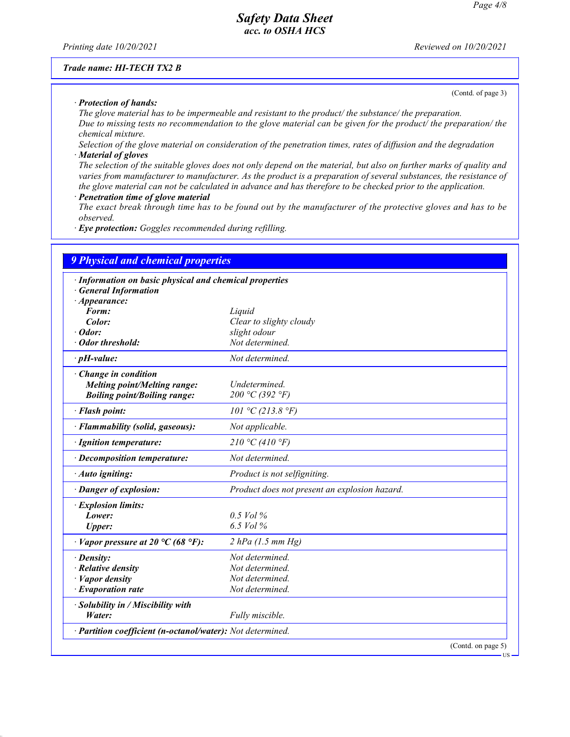Printing date  $10/20/2021$  Reviewed on  $10/20/2021$ 

#### Trade name: HI-TECH TX2 B

(Contd. of page 3)

· Protection of hands: The glove material has to be impermeable and resistant to the product/ the substance/ the preparation. Due to missing tests no recommendation to the glove material can be given for the product/ the preparation/ the chemical mixture.

Selection of the glove material on consideration of the penetration times, rates of diffusion and the degradation · Material of gloves

The selection of the suitable gloves does not only depend on the material, but also on further marks of quality and varies from manufacturer to manufacturer. As the product is a preparation of several substances, the resistance of the glove material can not be calculated in advance and has therefore to be checked prior to the application.

Penetration time of glove material

The exact break through time has to be found out by the manufacturer of the protective gloves and has to be observed.

· Eye protection: Goggles recommended during refilling.

| <b>9 Physical and chemical properties</b>                  |                                               |  |  |  |
|------------------------------------------------------------|-----------------------------------------------|--|--|--|
| · Information on basic physical and chemical properties    |                                               |  |  |  |
| <b>General Information</b>                                 |                                               |  |  |  |
| $\cdot$ Appearance:                                        |                                               |  |  |  |
| Form:                                                      | Liquid                                        |  |  |  |
| Color:                                                     | Clear to slighty cloudy                       |  |  |  |
| $\cdot$ Odor:                                              | slight odour                                  |  |  |  |
| · Odor threshold:                                          | Not determined.                               |  |  |  |
| $\cdot$ pH-value:                                          | Not determined.                               |  |  |  |
| · Change in condition                                      |                                               |  |  |  |
| <b>Melting point/Melting range:</b>                        | Undetermined.                                 |  |  |  |
| <b>Boiling point/Boiling range:</b>                        | 200 °C (392 °F)                               |  |  |  |
| · Flash point:                                             | 101 °C (213.8 °F)                             |  |  |  |
| · Flammability (solid, gaseous):                           | Not applicable.                               |  |  |  |
| · Ignition temperature:                                    | 210 °C (410 °F)                               |  |  |  |
| · Decomposition temperature:                               | Not determined.                               |  |  |  |
| · Auto igniting:                                           | Product is not selfigniting.                  |  |  |  |
| · Danger of explosion:                                     | Product does not present an explosion hazard. |  |  |  |
| · Explosion limits:                                        |                                               |  |  |  |
| Lower:                                                     | $0.5$ Vol %                                   |  |  |  |
| <b>Upper:</b>                                              | 6.5 Vol %                                     |  |  |  |
| $\cdot$ Vapor pressure at 20 °C (68 °F):                   | $2$ hPa (1.5 mm Hg)                           |  |  |  |
| · Density:                                                 | Not determined.                               |  |  |  |
| · Relative density                                         | Not determined.                               |  |  |  |
| $\cdot$ <i>Vapor density</i>                               | Not determined.                               |  |  |  |
| $\cdot$ Evaporation rate                                   | Not determined.                               |  |  |  |
| · Solubility in / Miscibility with                         |                                               |  |  |  |
| Water:                                                     | Fully miscible.                               |  |  |  |
| · Partition coefficient (n-octanol/water): Not determined. |                                               |  |  |  |
|                                                            | $(Contd, \text{one})$                         |  |  |  |

(Contd. on pag US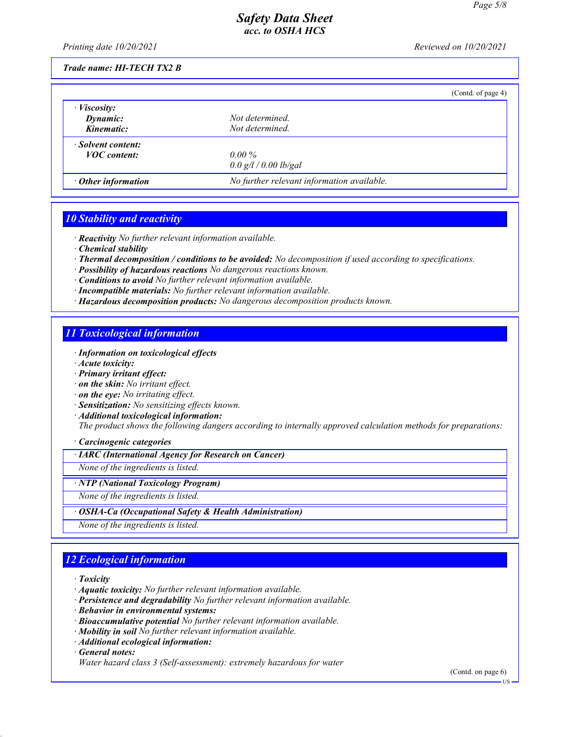Printing date 10/20/2021 Reviewed on 10/20/2021

### Trade name: HI-TECH TX2 B

|                           |                                            | (Contd. of page 4) |
|---------------------------|--------------------------------------------|--------------------|
| $\cdot$ <i>Viscosity:</i> |                                            |                    |
| Dynamic:                  | Not determined.                            |                    |
| Kinematic:                | Not determined.                            |                    |
| · Solvent content:        |                                            |                    |
| <b>VOC</b> content:       | $0.00\%$                                   |                    |
|                           | 0.0 g/l / 0.00 lb/gal                      |                    |
| $\cdot$ Other information | No further relevant information available. |                    |

## 10 Stability and reactivity

· Reactivity No further relevant information available.

- · Chemical stability
- · Thermal decomposition / conditions to be avoided: No decomposition if used according to specifications.
- · Possibility of hazardous reactions No dangerous reactions known.
- · Conditions to avoid No further relevant information available.
- · Incompatible materials: No further relevant information available.
- · Hazardous decomposition products: No dangerous decomposition products known.

## 11 Toxicological information

- · Information on toxicological effects
- · Acute toxicity:
- · Primary irritant effect:
- · on the skin: No irritant effect.
- · on the eye: No irritating effect.
- · Sensitization: No sensitizing effects known.
- · Additional toxicological information:

The product shows the following dangers according to internally approved calculation methods for preparations:

#### · Carcinogenic categories

· IARC (International Agency for Research on Cancer)

None of the ingredients is listed.

### · NTP (National Toxicology Program)

None of the ingredients is listed.

· OSHA-Ca (Occupational Safety & Health Administration)

None of the ingredients is listed.

# 12 Ecological information

· Toxicity

- · Aquatic toxicity: No further relevant information available.
- · Persistence and degradability No further relevant information available.
- · Behavior in environmental systems:
- · Bioaccumulative potential No further relevant information available.
- · Mobility in soil No further relevant information available.
- · Additional ecological information:

· General notes:

(Contd. on page 6)

Water hazard class 3 (Self-assessment): extremely hazardous for water

US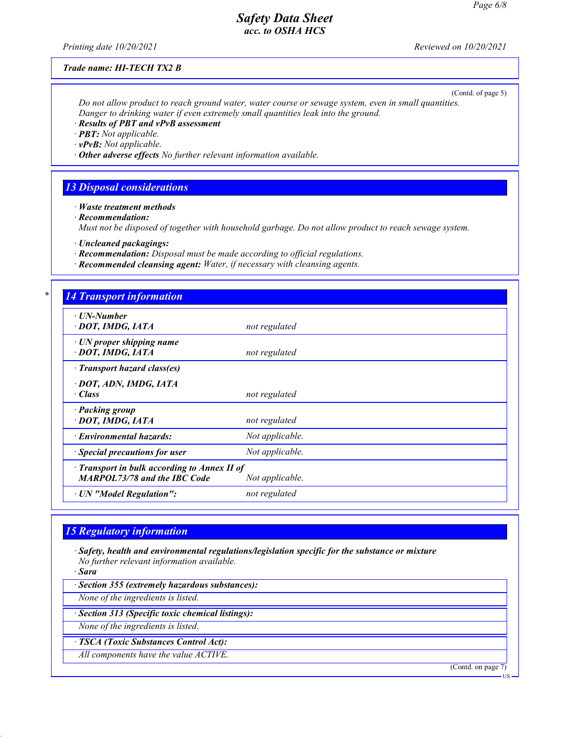Printing date 10/20/2021 Reviewed on 10/20/2021

#### Trade name: HI-TECH TX2 B

(Contd. of page 5)

Do not allow product to reach ground water, water course or sewage system, even in small quantities. Danger to drinking water if even extremely small quantities leak into the ground.

· Results of PBT and vPvB assessment

· PBT: Not applicable.

 $\cdot$  vPvB: Not applicable.

 $\cdot$  Other adverse effects No further relevant information available.

## 13 Disposal considerations

· Waste treatment methods

· Recommendation:

Must not be disposed of together with household garbage. Do not allow product to reach sewage system.

· Uncleaned packagings:

· Recommendation: Disposal must be made according to official regulations.

· Recommended cleansing agent: Water, if necessary with cleansing agents.

### **4 Transport information**

| $1.000$ $0.000$ $0.000$ $0.000$                                                           |                 |
|-------------------------------------------------------------------------------------------|-----------------|
| $\cdot$ UN-Number<br>· DOT, IMDG, IATA                                                    | not regulated   |
| · UN proper shipping name<br>· DOT, IMDG, IATA                                            | not regulated   |
| · Transport hazard class(es)                                                              |                 |
| · DOT, ADN, IMDG, IATA<br>· Class                                                         | not regulated   |
| · Packing group<br>· DOT, IMDG, IATA                                                      | not regulated   |
| · Environmental hazards:                                                                  | Not applicable. |
| $\cdot$ Special precautions for user                                                      | Not applicable. |
| $\cdot$ Transport in bulk according to Annex II of<br><b>MARPOL73/78 and the IBC Code</b> | Not applicable. |
| · UN "Model Regulation":                                                                  | not regulated   |
|                                                                                           |                 |

## 15 Regulatory information

· Safety, health and environmental regulations/legislation specific for the substance or mixture No further relevant information available.

· Sara

· Section 355 (extremely hazardous substances):

None of the ingredients is listed.

· Section 313 (Specific toxic chemical listings):

None of the ingredients is listed.

· TSCA (Toxic Substances Control Act):

All components have the value ACTIVE.

(Contd. on page 7)

**US**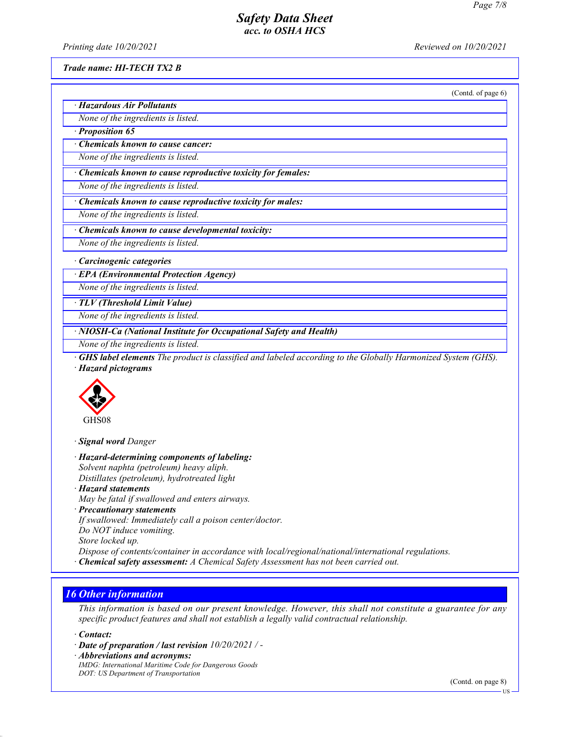Printing date 10/20/2021 Reviewed on 10/20/2021

#### Trade name: HI-TECH TX2 B

(Contd. of page 6)

· Hazardous Air Pollutants None of the ingredients is listed.

· Proposition 65

· Chemicals known to cause cancer:

None of the ingredients is listed.

· Chemicals known to cause reproductive toxicity for females:

None of the ingredients is listed.

· Chemicals known to cause reproductive toxicity for males:

None of the ingredients is listed.

· Chemicals known to cause developmental toxicity:

None of the ingredients is listed.

· Carcinogenic categories

· EPA (Environmental Protection Agency)

None of the ingredients is listed.

· TLV (Threshold Limit Value)

None of the ingredients is listed.

· NIOSH-Ca (National Institute for Occupational Safety and Health)

None of the ingredients is listed.

· GHS label elements The product is classified and labeled according to the Globally Harmonized System (GHS). · Hazard pictograms



· Signal word Danger

· Hazard-determining components of labeling: Solvent naphta (petroleum) heavy aliph. Distillates (petroleum), hydrotreated light

· Hazard statements

May be fatal if swallowed and enters airways.

· Precautionary statements

If swallowed: Immediately call a poison center/doctor.

Do NOT induce vomiting.

Store locked up.

Dispose of contents/container in accordance with local/regional/national/international regulations.

· Chemical safety assessment: A Chemical Safety Assessment has not been carried out.

# 16 Other information

This information is based on our present knowledge. However, this shall not constitute a guarantee for any specific product features and shall not establish a legally valid contractual relationship.

· Contact:

· Date of preparation / last revision 10/20/2021 / -

· Abbreviations and acronyms:

IMDG: International Maritime Code for Dangerous Goods DOT: US Department of Transportation

(Contd. on page 8)